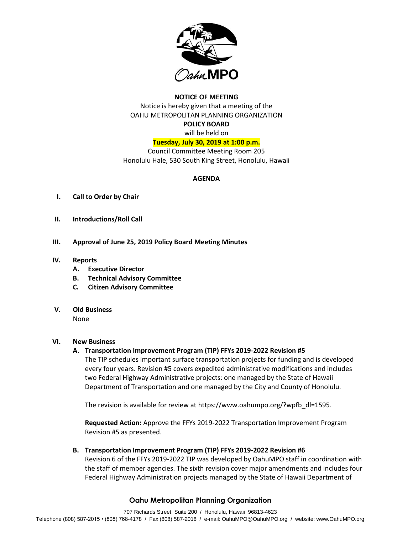

# **NOTICE OF MEETING**

Notice is hereby given that a meeting of the OAHU METROPOLITAN PLANNING ORGANIZATION **POLICY BOARD**

will be held on

### **Tuesday, July 30, 2019 at 1:00 p.m.**

Council Committee Meeting Room 205 Honolulu Hale, 530 South King Street, Honolulu, Hawaii

## **AGENDA**

- **I. Call to Order by Chair**
- **II. Introductions/Roll Call**
- **III. Approval of June 25, 2019 Policy Board Meeting Minutes**
- **IV. Reports**
	- **A. Executive Director**
	- **B. Technical Advisory Committee**
	- **C. Citizen Advisory Committee**
- **V. Old Business** None

### **VI. New Business**

# **A. Transportation Improvement Program (TIP) FFYs 2019-2022 Revision #5**

The TIP schedules important surface transportation projects for funding and is developed every four years. Revision #5 covers expedited administrative modifications and includes two Federal Highway Administrative projects: one managed by the State of Hawaii Department of Transportation and one managed by the City and County of Honolulu.

The revision is available for review a[t https://www.oahumpo.org/?wpfb\\_dl=1595.](https://www.oahumpo.org/?wpfb_dl=1595)

**Requested Action:** Approve the FFYs 2019-2022 Transportation Improvement Program Revision #5 as presented.

### **B. Transportation Improvement Program (TIP) FFYs 2019-2022 Revision #6**

Revision 6 of the FFYs 2019-2022 TIP was developed by OahuMPO staff in coordination with the staff of member agencies. The sixth revision cover major amendments and includes four Federal Highway Administration projects managed by the State of Hawaii Department of

# **Oahu Metropolitan Planning Organization**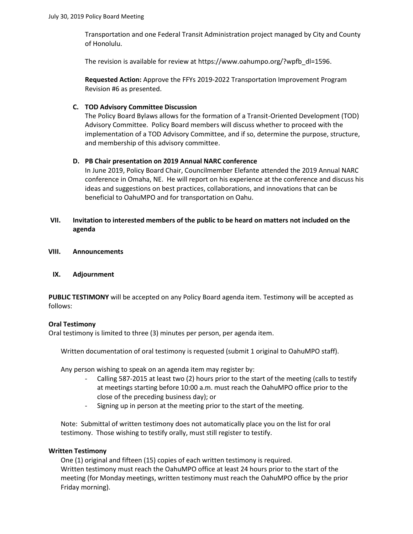Transportation and one Federal Transit Administration project managed by City and County of Honolulu.

The revision is available for review a[t https://www.oahumpo.org/?wpfb\\_dl=1596.](https://www.oahumpo.org/?wpfb_dl=1596)

**Requested Action:** Approve the FFYs 2019-2022 Transportation Improvement Program Revision #6 as presented.

### **C. TOD Advisory Committee Discussion**

The Policy Board Bylaws allows for the formation of a Transit-Oriented Development (TOD) Advisory Committee. Policy Board members will discuss whether to proceed with the implementation of a TOD Advisory Committee, and if so, determine the purpose, structure, and membership of this advisory committee.

## **D. PB Chair presentation on 2019 Annual NARC conference**

In June 2019, Policy Board Chair, Councilmember Elefante attended the 2019 Annual NARC conference in Omaha, NE. He will report on his experience at the conference and discuss his ideas and suggestions on best practices, collaborations, and innovations that can be beneficial to OahuMPO and for transportation on Oahu.

# **VII. Invitation to interested members of the public to be heard on matters not included on the agenda**

**VIII. Announcements**

### **IX. Adjournment**

**PUBLIC TESTIMONY** will be accepted on any Policy Board agenda item. Testimony will be accepted as follows:

# **Oral Testimony**

Oral testimony is limited to three (3) minutes per person, per agenda item.

Written documentation of oral testimony is requested (submit 1 original to OahuMPO staff).

Any person wishing to speak on an agenda item may register by:

- Calling 587-2015 at least two (2) hours prior to the start of the meeting (calls to testify at meetings starting before 10:00 a.m. must reach the OahuMPO office prior to the close of the preceding business day); or
- Signing up in person at the meeting prior to the start of the meeting.

Note: Submittal of written testimony does not automatically place you on the list for oral testimony. Those wishing to testify orally, must still register to testify.

### **Written Testimony**

One (1) original and fifteen (15) copies of each written testimony is required. Written testimony must reach the OahuMPO office at least 24 hours prior to the start of the meeting (for Monday meetings, written testimony must reach the OahuMPO office by the prior Friday morning).